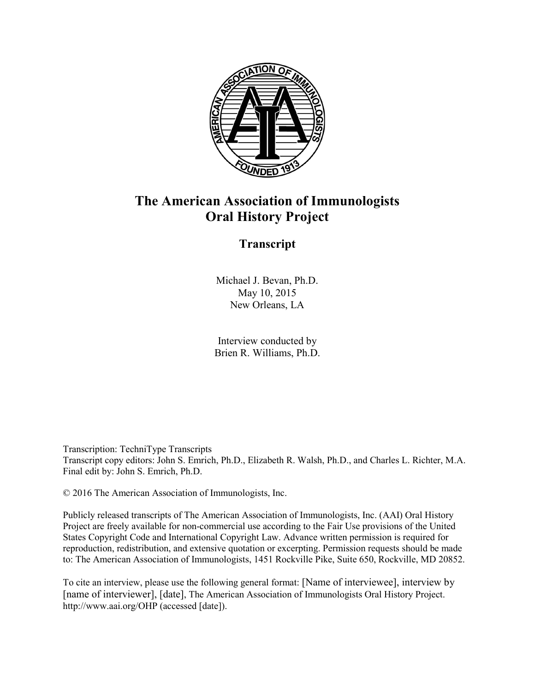

## **The American Association of Immunologists Oral History Project**

## **Transcript**

Michael J. Bevan, Ph.D. May 10, 2015 New Orleans, LA

Interview conducted by Brien R. Williams, Ph.D.

Transcription: TechniType Transcripts Transcript copy editors: John S. Emrich, Ph.D., Elizabeth R. Walsh, Ph.D., and Charles L. Richter, M.A. Final edit by: John S. Emrich, Ph.D.

© 2016 The American Association of Immunologists, Inc.

Publicly released transcripts of The American Association of Immunologists, Inc. (AAI) Oral History Project are freely available for non-commercial use according to the Fair Use provisions of the United States Copyright Code and International Copyright Law. Advance written permission is required for reproduction, redistribution, and extensive quotation or excerpting. Permission requests should be made to: The American Association of Immunologists, 1451 Rockville Pike, Suite 650, Rockville, MD 20852.

To cite an interview, please use the following general format: [Name of interviewee], interview by [name of interviewer], [date], The American Association of Immunologists Oral History Project. http://www.aai.org/OHP (accessed [date]).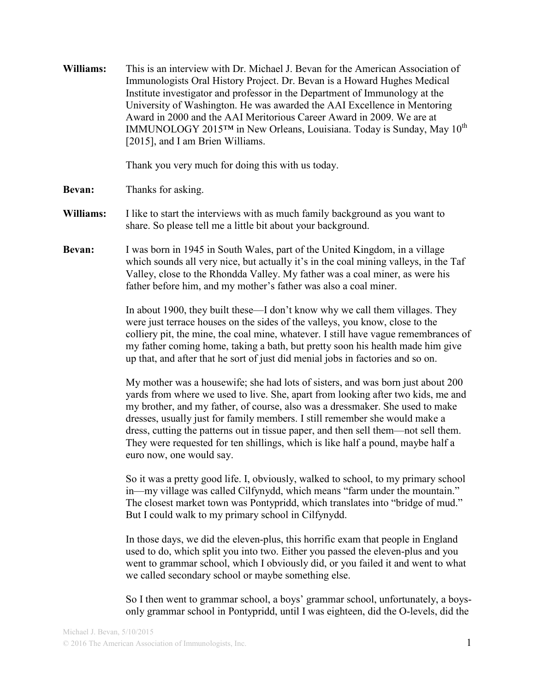**Williams:** This is an interview with Dr. Michael J. Bevan for the American Association of Immunologists Oral History Project. Dr. Bevan is a Howard Hughes Medical Institute investigator and professor in the Department of Immunology at the University of Washington. He was awarded the AAI Excellence in Mentoring Award in 2000 and the AAI Meritorious Career Award in 2009. We are at IMMUNOLOGY 2015™ in New Orleans, Louisiana. Today is Sunday, May 10<sup>th</sup> [2015], and I am Brien Williams.

Thank you very much for doing this with us today.

- **Bevan:** Thanks for asking.
- **Williams:** I like to start the interviews with as much family background as you want to share. So please tell me a little bit about your background.
- **Bevan:** I was born in 1945 in South Wales, part of the United Kingdom, in a village which sounds all very nice, but actually it's in the coal mining valleys, in the Taf Valley, close to the Rhondda Valley. My father was a coal miner, as were his father before him, and my mother's father was also a coal miner.

In about 1900, they built these—I don't know why we call them villages. They were just terrace houses on the sides of the valleys, you know, close to the colliery pit, the mine, the coal mine, whatever. I still have vague remembrances of my father coming home, taking a bath, but pretty soon his health made him give up that, and after that he sort of just did menial jobs in factories and so on.

My mother was a housewife; she had lots of sisters, and was born just about 200 yards from where we used to live. She, apart from looking after two kids, me and my brother, and my father, of course, also was a dressmaker. She used to make dresses, usually just for family members. I still remember she would make a dress, cutting the patterns out in tissue paper, and then sell them—not sell them. They were requested for ten shillings, which is like half a pound, maybe half a euro now, one would say.

So it was a pretty good life. I, obviously, walked to school, to my primary school in—my village was called Cilfynydd, which means "farm under the mountain." The closest market town was Pontypridd, which translates into "bridge of mud." But I could walk to my primary school in Cilfynydd.

In those days, we did the eleven-plus, this horrific exam that people in England used to do, which split you into two. Either you passed the eleven-plus and you went to grammar school, which I obviously did, or you failed it and went to what we called secondary school or maybe something else.

So I then went to grammar school, a boys' grammar school, unfortunately, a boysonly grammar school in Pontypridd, until I was eighteen, did the O-levels, did the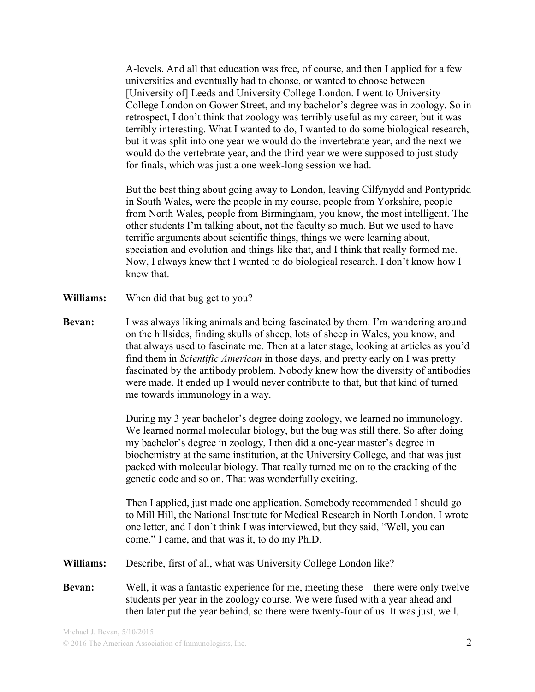A-levels. And all that education was free, of course, and then I applied for a few universities and eventually had to choose, or wanted to choose between [University of] Leeds and University College London. I went to University College London on Gower Street, and my bachelor's degree was in zoology. So in retrospect, I don't think that zoology was terribly useful as my career, but it was terribly interesting. What I wanted to do, I wanted to do some biological research, but it was split into one year we would do the invertebrate year, and the next we would do the vertebrate year, and the third year we were supposed to just study for finals, which was just a one week-long session we had.

But the best thing about going away to London, leaving Cilfynydd and Pontypridd in South Wales, were the people in my course, people from Yorkshire, people from North Wales, people from Birmingham, you know, the most intelligent. The other students I'm talking about, not the faculty so much. But we used to have terrific arguments about scientific things, things we were learning about, speciation and evolution and things like that, and I think that really formed me. Now, I always knew that I wanted to do biological research. I don't know how I knew that.

- **Williams:** When did that bug get to you?
- **Bevan:** I was always liking animals and being fascinated by them. I'm wandering around on the hillsides, finding skulls of sheep, lots of sheep in Wales, you know, and that always used to fascinate me. Then at a later stage, looking at articles as you'd find them in *Scientific American* in those days, and pretty early on I was pretty fascinated by the antibody problem. Nobody knew how the diversity of antibodies were made. It ended up I would never contribute to that, but that kind of turned me towards immunology in a way.

During my 3 year bachelor's degree doing zoology, we learned no immunology. We learned normal molecular biology, but the bug was still there. So after doing my bachelor's degree in zoology, I then did a one-year master's degree in biochemistry at the same institution, at the University College, and that was just packed with molecular biology. That really turned me on to the cracking of the genetic code and so on. That was wonderfully exciting.

Then I applied, just made one application. Somebody recommended I should go to Mill Hill, the National Institute for Medical Research in North London. I wrote one letter, and I don't think I was interviewed, but they said, "Well, you can come." I came, and that was it, to do my Ph.D.

- **Williams:** Describe, first of all, what was University College London like?
- **Bevan:** Well, it was a fantastic experience for me, meeting these—there were only twelve students per year in the zoology course. We were fused with a year ahead and then later put the year behind, so there were twenty-four of us. It was just, well,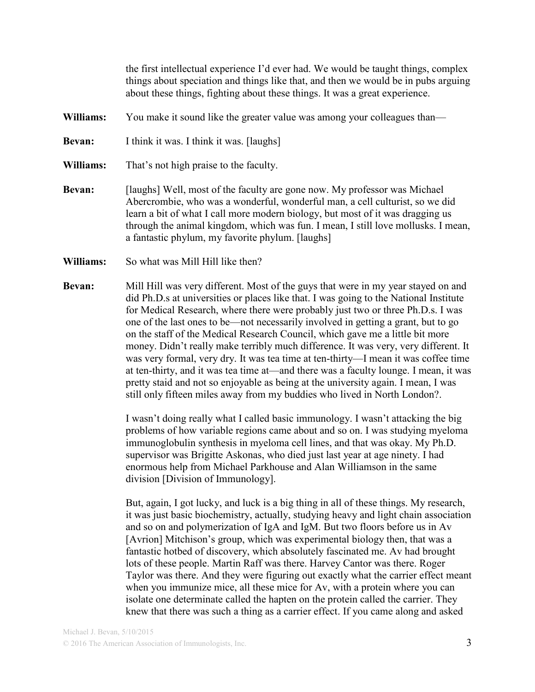the first intellectual experience I'd ever had. We would be taught things, complex things about speciation and things like that, and then we would be in pubs arguing about these things, fighting about these things. It was a great experience.

- **Williams:** You make it sound like the greater value was among your colleagues than—
- **Bevan:** I think it was. I think it was. [laughs]
- **Williams:** That's not high praise to the faculty.
- **Bevan:** [laughs] Well, most of the faculty are gone now. My professor was Michael Abercrombie, who was a wonderful, wonderful man, a cell culturist, so we did learn a bit of what I call more modern biology, but most of it was dragging us through the animal kingdom, which was fun. I mean, I still love mollusks. I mean, a fantastic phylum, my favorite phylum. [laughs]
- **Williams:** So what was Mill Hill like then?
- **Bevan:** Mill Hill was very different. Most of the guys that were in my year stayed on and did Ph.D.s at universities or places like that. I was going to the National Institute for Medical Research, where there were probably just two or three Ph.D.s. I was one of the last ones to be—not necessarily involved in getting a grant, but to go on the staff of the Medical Research Council, which gave me a little bit more money. Didn't really make terribly much difference. It was very, very different. It was very formal, very dry. It was tea time at ten-thirty—I mean it was coffee time at ten-thirty, and it was tea time at—and there was a faculty lounge. I mean, it was pretty staid and not so enjoyable as being at the university again. I mean, I was still only fifteen miles away from my buddies who lived in North London?.

I wasn't doing really what I called basic immunology. I wasn't attacking the big problems of how variable regions came about and so on. I was studying myeloma immunoglobulin synthesis in myeloma cell lines, and that was okay. My Ph.D. supervisor was Brigitte Askonas, who died just last year at age ninety. I had enormous help from Michael Parkhouse and Alan Williamson in the same division [Division of Immunology].

But, again, I got lucky, and luck is a big thing in all of these things. My research, it was just basic biochemistry, actually, studying heavy and light chain association and so on and polymerization of IgA and IgM. But two floors before us in Av [Avrion] Mitchison's group, which was experimental biology then, that was a fantastic hotbed of discovery, which absolutely fascinated me. Av had brought lots of these people. Martin Raff was there. Harvey Cantor was there. Roger Taylor was there. And they were figuring out exactly what the carrier effect meant when you immunize mice, all these mice for Av, with a protein where you can isolate one determinate called the hapten on the protein called the carrier. They knew that there was such a thing as a carrier effect. If you came along and asked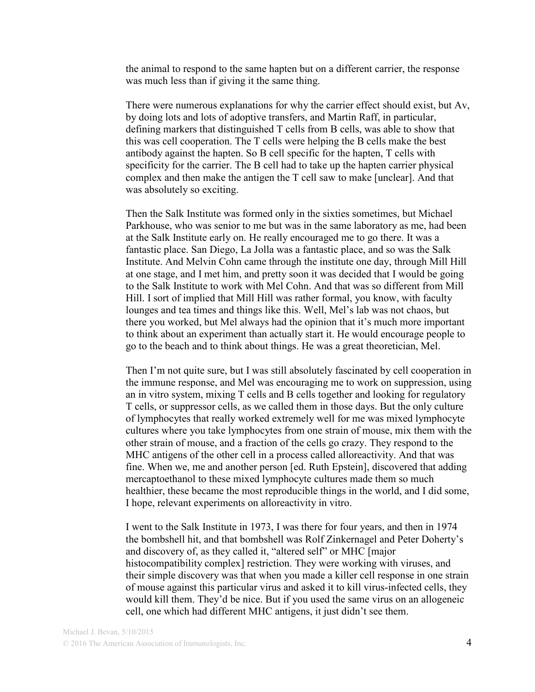the animal to respond to the same hapten but on a different carrier, the response was much less than if giving it the same thing.

There were numerous explanations for why the carrier effect should exist, but Av, by doing lots and lots of adoptive transfers, and Martin Raff, in particular, defining markers that distinguished T cells from B cells, was able to show that this was cell cooperation. The T cells were helping the B cells make the best antibody against the hapten. So B cell specific for the hapten, T cells with specificity for the carrier. The B cell had to take up the hapten carrier physical complex and then make the antigen the T cell saw to make [unclear]. And that was absolutely so exciting.

Then the Salk Institute was formed only in the sixties sometimes, but Michael Parkhouse, who was senior to me but was in the same laboratory as me, had been at the Salk Institute early on. He really encouraged me to go there. It was a fantastic place. San Diego, La Jolla was a fantastic place, and so was the Salk Institute. And Melvin Cohn came through the institute one day, through Mill Hill at one stage, and I met him, and pretty soon it was decided that I would be going to the Salk Institute to work with Mel Cohn. And that was so different from Mill Hill. I sort of implied that Mill Hill was rather formal, you know, with faculty lounges and tea times and things like this. Well, Mel's lab was not chaos, but there you worked, but Mel always had the opinion that it's much more important to think about an experiment than actually start it. He would encourage people to go to the beach and to think about things. He was a great theoretician, Mel.

Then I'm not quite sure, but I was still absolutely fascinated by cell cooperation in the immune response, and Mel was encouraging me to work on suppression, using an in vitro system, mixing T cells and B cells together and looking for regulatory T cells, or suppressor cells, as we called them in those days. But the only culture of lymphocytes that really worked extremely well for me was mixed lymphocyte cultures where you take lymphocytes from one strain of mouse, mix them with the other strain of mouse, and a fraction of the cells go crazy. They respond to the MHC antigens of the other cell in a process called alloreactivity. And that was fine. When we, me and another person [ed. Ruth Epstein], discovered that adding mercaptoethanol to these mixed lymphocyte cultures made them so much healthier, these became the most reproducible things in the world, and I did some, I hope, relevant experiments on alloreactivity in vitro.

I went to the Salk Institute in 1973, I was there for four years, and then in 1974 the bombshell hit, and that bombshell was Rolf Zinkernagel and Peter Doherty's and discovery of, as they called it, "altered self" or MHC [major histocompatibility complex] restriction. They were working with viruses, and their simple discovery was that when you made a killer cell response in one strain of mouse against this particular virus and asked it to kill virus-infected cells, they would kill them. They'd be nice. But if you used the same virus on an allogeneic cell, one which had different MHC antigens, it just didn't see them.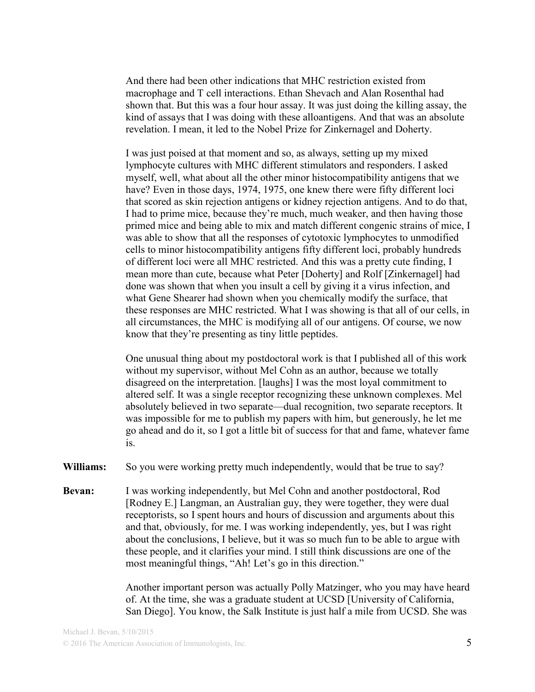And there had been other indications that MHC restriction existed from macrophage and T cell interactions. Ethan Shevach and Alan Rosenthal had shown that. But this was a four hour assay. It was just doing the killing assay, the kind of assays that I was doing with these alloantigens. And that was an absolute revelation. I mean, it led to the Nobel Prize for Zinkernagel and Doherty.

I was just poised at that moment and so, as always, setting up my mixed lymphocyte cultures with MHC different stimulators and responders. I asked myself, well, what about all the other minor histocompatibility antigens that we have? Even in those days, 1974, 1975, one knew there were fifty different loci that scored as skin rejection antigens or kidney rejection antigens. And to do that, I had to prime mice, because they're much, much weaker, and then having those primed mice and being able to mix and match different congenic strains of mice, I was able to show that all the responses of cytotoxic lymphocytes to unmodified cells to minor histocompatibility antigens fifty different loci, probably hundreds of different loci were all MHC restricted. And this was a pretty cute finding, I mean more than cute, because what Peter [Doherty] and Rolf [Zinkernagel] had done was shown that when you insult a cell by giving it a virus infection, and what Gene Shearer had shown when you chemically modify the surface, that these responses are MHC restricted. What I was showing is that all of our cells, in all circumstances, the MHC is modifying all of our antigens. Of course, we now know that they're presenting as tiny little peptides.

One unusual thing about my postdoctoral work is that I published all of this work without my supervisor, without Mel Cohn as an author, because we totally disagreed on the interpretation. [laughs] I was the most loyal commitment to altered self. It was a single receptor recognizing these unknown complexes. Mel absolutely believed in two separate—dual recognition, two separate receptors. It was impossible for me to publish my papers with him, but generously, he let me go ahead and do it, so I got a little bit of success for that and fame, whatever fame is.

**Williams:** So you were working pretty much independently, would that be true to say?

**Bevan:** I was working independently, but Mel Cohn and another postdoctoral, Rod [Rodney E.] Langman, an Australian guy, they were together, they were dual receptorists, so I spent hours and hours of discussion and arguments about this and that, obviously, for me. I was working independently, yes, but I was right about the conclusions, I believe, but it was so much fun to be able to argue with these people, and it clarifies your mind. I still think discussions are one of the most meaningful things, "Ah! Let's go in this direction."

> Another important person was actually Polly Matzinger, who you may have heard of. At the time, she was a graduate student at UCSD [University of California, San Diego]. You know, the Salk Institute is just half a mile from UCSD. She was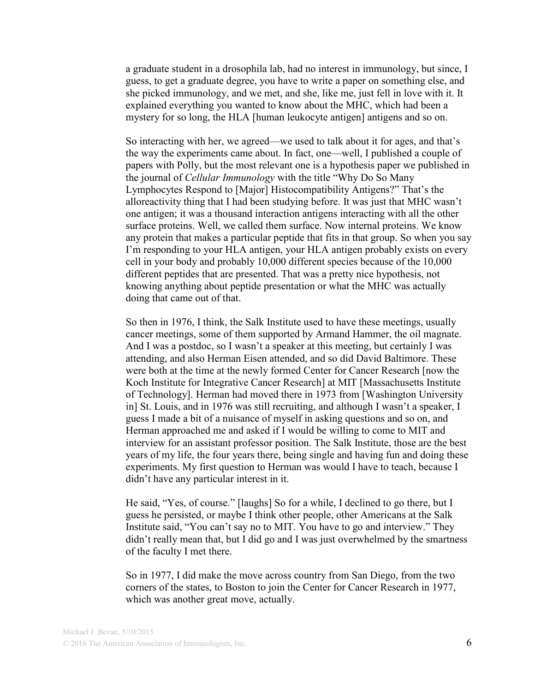a graduate student in a drosophila lab, had no interest in immunology, but since, I guess, to get a graduate degree, you have to write a paper on something else, and she picked immunology, and we met, and she, like me, just fell in love with it. It explained everything you wanted to know about the MHC, which had been a mystery for so long, the HLA [human leukocyte antigen] antigens and so on.

So interacting with her, we agreed—we used to talk about it for ages, and that's the way the experiments came about. In fact, one—well, I published a couple of papers with Polly, but the most relevant one is a hypothesis paper we published in the journal of *Cellular Immunology* with the title "Why Do So Many Lymphocytes Respond to [Major] Histocompatibility Antigens?" That's the alloreactivity thing that I had been studying before. It was just that MHC wasn't one antigen; it was a thousand interaction antigens interacting with all the other surface proteins. Well, we called them surface. Now internal proteins. We know any protein that makes a particular peptide that fits in that group. So when you say I'm responding to your HLA antigen, your HLA antigen probably exists on every cell in your body and probably 10,000 different species because of the 10,000 different peptides that are presented. That was a pretty nice hypothesis, not knowing anything about peptide presentation or what the MHC was actually doing that came out of that.

So then in 1976, I think, the Salk Institute used to have these meetings, usually cancer meetings, some of them supported by Armand Hammer, the oil magnate. And I was a postdoc, so I wasn't a speaker at this meeting, but certainly I was attending, and also Herman Eisen attended, and so did David Baltimore. These were both at the time at the newly formed Center for Cancer Research [now the Koch Institute for Integrative Cancer Research] at MIT [Massachusetts Institute of Technology]. Herman had moved there in 1973 from [Washington University in] St. Louis, and in 1976 was still recruiting, and although I wasn't a speaker, I guess I made a bit of a nuisance of myself in asking questions and so on, and Herman approached me and asked if I would be willing to come to MIT and interview for an assistant professor position. The Salk Institute, those are the best years of my life, the four years there, being single and having fun and doing these experiments. My first question to Herman was would I have to teach, because I didn't have any particular interest in it.

He said, "Yes, of course." [laughs] So for a while, I declined to go there, but I guess he persisted, or maybe I think other people, other Americans at the Salk Institute said, "You can't say no to MIT. You have to go and interview." They didn't really mean that, but I did go and I was just overwhelmed by the smartness of the faculty I met there.

So in 1977, I did make the move across country from San Diego, from the two corners of the states, to Boston to join the Center for Cancer Research in 1977, which was another great move, actually.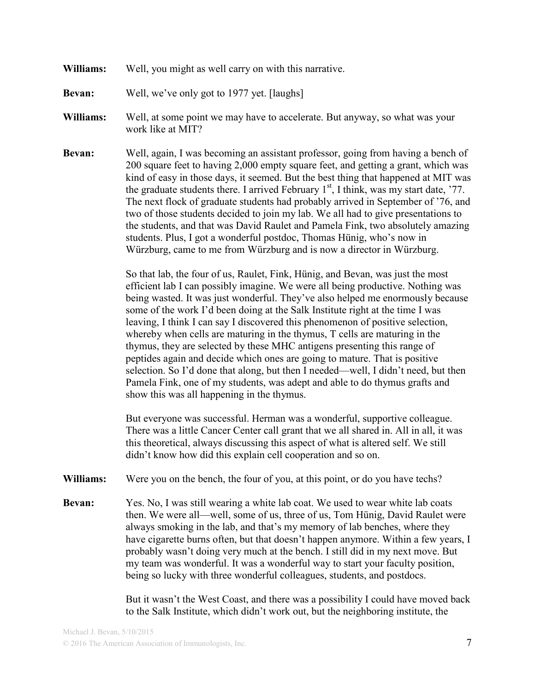**Williams:** Well, you might as well carry on with this narrative.

**Bevan:** Well, we've only got to 1977 yet. [laughs]

- **Williams:** Well, at some point we may have to accelerate. But anyway, so what was your work like at MIT?
- **Bevan:** Well, again, I was becoming an assistant professor, going from having a bench of 200 square feet to having 2,000 empty square feet, and getting a grant, which was kind of easy in those days, it seemed. But the best thing that happened at MIT was the graduate students there. I arrived February  $1<sup>st</sup>$ , I think, was my start date, '77. The next flock of graduate students had probably arrived in September of '76, and two of those students decided to join my lab. We all had to give presentations to the students, and that was David Raulet and Pamela Fink, two absolutely amazing students. Plus, I got a wonderful postdoc, Thomas Hünig, who's now in Würzburg, came to me from Würzburg and is now a director in Würzburg.

So that lab, the four of us, Raulet, Fink, Hünig, and Bevan, was just the most efficient lab I can possibly imagine. We were all being productive. Nothing was being wasted. It was just wonderful. They've also helped me enormously because some of the work I'd been doing at the Salk Institute right at the time I was leaving, I think I can say I discovered this phenomenon of positive selection, whereby when cells are maturing in the thymus, T cells are maturing in the thymus, they are selected by these MHC antigens presenting this range of peptides again and decide which ones are going to mature. That is positive selection. So I'd done that along, but then I needed—well, I didn't need, but then Pamela Fink, one of my students, was adept and able to do thymus grafts and show this was all happening in the thymus.

But everyone was successful. Herman was a wonderful, supportive colleague. There was a little Cancer Center call grant that we all shared in. All in all, it was this theoretical, always discussing this aspect of what is altered self. We still didn't know how did this explain cell cooperation and so on.

- **Williams:** Were you on the bench, the four of you, at this point, or do you have techs?
- **Bevan:** Yes. No, I was still wearing a white lab coat. We used to wear white lab coats then. We were all—well, some of us, three of us, Tom Hünig, David Raulet were always smoking in the lab, and that's my memory of lab benches, where they have cigarette burns often, but that doesn't happen anymore. Within a few years, I probably wasn't doing very much at the bench. I still did in my next move. But my team was wonderful. It was a wonderful way to start your faculty position, being so lucky with three wonderful colleagues, students, and postdocs.

But it wasn't the West Coast, and there was a possibility I could have moved back to the Salk Institute, which didn't work out, but the neighboring institute, the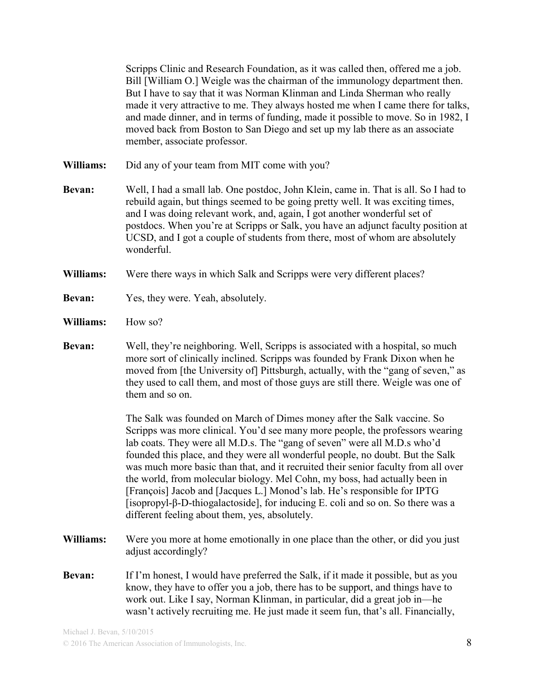Scripps Clinic and Research Foundation, as it was called then, offered me a job. Bill [William O.] Weigle was the chairman of the immunology department then. But I have to say that it was Norman Klinman and Linda Sherman who really made it very attractive to me. They always hosted me when I came there for talks, and made dinner, and in terms of funding, made it possible to move. So in 1982, I moved back from Boston to San Diego and set up my lab there as an associate member, associate professor.

- **Williams:** Did any of your team from MIT come with you?
- **Bevan:** Well, I had a small lab. One postdoc, John Klein, came in. That is all. So I had to rebuild again, but things seemed to be going pretty well. It was exciting times, and I was doing relevant work, and, again, I got another wonderful set of postdocs. When you're at Scripps or Salk, you have an adjunct faculty position at UCSD, and I got a couple of students from there, most of whom are absolutely wonderful.
- **Williams:** Were there ways in which Salk and Scripps were very different places?
- **Bevan:** Yes, they were. Yeah, absolutely.
- **Williams:** How so?
- **Bevan:** Well, they're neighboring. Well, Scripps is associated with a hospital, so much more sort of clinically inclined. Scripps was founded by Frank Dixon when he moved from [the University of] Pittsburgh, actually, with the "gang of seven," as they used to call them, and most of those guys are still there. Weigle was one of them and so on.

The Salk was founded on March of Dimes money after the Salk vaccine. So Scripps was more clinical. You'd see many more people, the professors wearing lab coats. They were all M.D.s. The "gang of seven" were all M.D.s who'd founded this place, and they were all wonderful people, no doubt. But the Salk was much more basic than that, and it recruited their senior faculty from all over the world, from molecular biology. Mel Cohn, my boss, had actually been in [François] Jacob and [Jacques L.] Monod's lab. He's responsible for IPTG [isopropyl-β-D-thiogalactoside], for inducing E. coli and so on. So there was a different feeling about them, yes, absolutely.

- **Williams:** Were you more at home emotionally in one place than the other, or did you just adjust accordingly?
- **Bevan:** If I'm honest, I would have preferred the Salk, if it made it possible, but as you know, they have to offer you a job, there has to be support, and things have to work out. Like I say, Norman Klinman, in particular, did a great job in—he wasn't actively recruiting me. He just made it seem fun, that's all. Financially,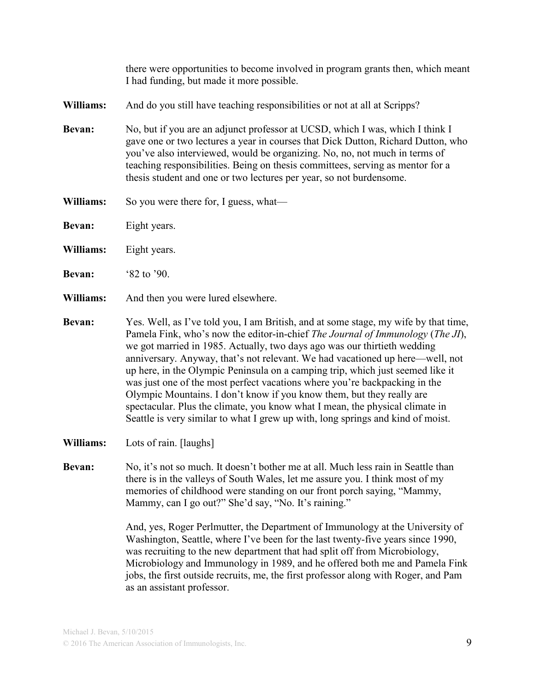there were opportunities to become involved in program grants then, which meant I had funding, but made it more possible.

**Williams:** And do you still have teaching responsibilities or not at all at Scripps?

- **Bevan:** No, but if you are an adjunct professor at UCSD, which I was, which I think I gave one or two lectures a year in courses that Dick Dutton, Richard Dutton, who you've also interviewed, would be organizing. No, no, not much in terms of teaching responsibilities. Being on thesis committees, serving as mentor for a thesis student and one or two lectures per year, so not burdensome.
- **Williams:** So you were there for, I guess, what—
- **Bevan:** Eight years.

**Williams:** Eight years.

**Bevan:** '82 to '90.

- **Williams:** And then you were lured elsewhere.
- **Bevan:** Yes. Well, as I've told you, I am British, and at some stage, my wife by that time, Pamela Fink, who's now the editor-in-chief *The Journal of Immunology* (*The JI*), we got married in 1985. Actually, two days ago was our thirtieth wedding anniversary. Anyway, that's not relevant. We had vacationed up here—well, not up here, in the Olympic Peninsula on a camping trip, which just seemed like it was just one of the most perfect vacations where you're backpacking in the Olympic Mountains. I don't know if you know them, but they really are spectacular. Plus the climate, you know what I mean, the physical climate in Seattle is very similar to what I grew up with, long springs and kind of moist.
- **Williams:** Lots of rain. [laughs]
- **Bevan:** No, it's not so much. It doesn't bother me at all. Much less rain in Seattle than there is in the valleys of South Wales, let me assure you. I think most of my memories of childhood were standing on our front porch saying, "Mammy, Mammy, can I go out?" She'd say, "No. It's raining."

And, yes, Roger Perlmutter, the Department of Immunology at the University of Washington, Seattle, where I've been for the last twenty-five years since 1990, was recruiting to the new department that had split off from Microbiology, Microbiology and Immunology in 1989, and he offered both me and Pamela Fink jobs, the first outside recruits, me, the first professor along with Roger, and Pam as an assistant professor.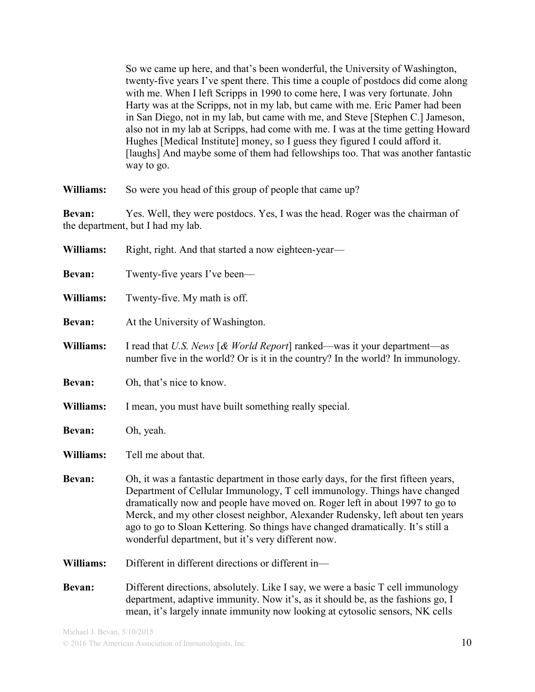So we came up here, and that's been wonderful, the University of Washington, twenty-five years I've spent there. This time a couple of postdocs did come along with me. When I left Scripps in 1990 to come here, I was very fortunate. John Harty was at the Scripps, not in my lab, but came with me. Eric Pamer had been in San Diego, not in my lab, but came with me, and Steve [Stephen C.] Jameson, also not in my lab at Scripps, had come with me. I was at the time getting Howard Hughes [Medical Institute] money, so I guess they figured I could afford it. [laughs] And maybe some of them had fellowships too. That was another fantastic way to go.

**Williams:** So were you head of this group of people that came up?

**Bevan:** Yes. Well, they were postdocs. Yes, I was the head. Roger was the chairman of the department, but I had my lab.

| Williams:     | Right, right. And that started a now eighteen-year—                                                                                                                                                                                                                                                                                                                                                                                                                         |
|---------------|-----------------------------------------------------------------------------------------------------------------------------------------------------------------------------------------------------------------------------------------------------------------------------------------------------------------------------------------------------------------------------------------------------------------------------------------------------------------------------|
| Bevan:        | Twenty-five years I've been—                                                                                                                                                                                                                                                                                                                                                                                                                                                |
| Williams:     | Twenty-five. My math is off.                                                                                                                                                                                                                                                                                                                                                                                                                                                |
| Bevan:        | At the University of Washington.                                                                                                                                                                                                                                                                                                                                                                                                                                            |
| Williams:     | I read that U.S. News $\lceil \mathcal{R} \text{ World Report} \rceil$ ranked—was it your department—as<br>number five in the world? Or is it in the country? In the world? In immunology.                                                                                                                                                                                                                                                                                  |
| Bevan:        | Oh, that's nice to know.                                                                                                                                                                                                                                                                                                                                                                                                                                                    |
| Williams:     | I mean, you must have built something really special.                                                                                                                                                                                                                                                                                                                                                                                                                       |
| Bevan:        | Oh, yeah.                                                                                                                                                                                                                                                                                                                                                                                                                                                                   |
| Williams:     | Tell me about that.                                                                                                                                                                                                                                                                                                                                                                                                                                                         |
| <b>Bevan:</b> | Oh, it was a fantastic department in those early days, for the first fifteen years,<br>Department of Cellular Immunology, T cell immunology. Things have changed<br>dramatically now and people have moved on. Roger left in about 1997 to go to<br>Merck, and my other closest neighbor, Alexander Rudensky, left about ten years<br>ago to go to Sloan Kettering. So things have changed dramatically. It's still a<br>wonderful department, but it's very different now. |
| Williams:     | Different in different directions or different in-                                                                                                                                                                                                                                                                                                                                                                                                                          |
| Bevan:        | Different directions, absolutely. Like I say, we were a basic T cell immunology<br>department, adaptive immunity. Now it's, as it should be, as the fashions go, I<br>mean, it's largely innate immunity now looking at cytosolic sensors, NK cells                                                                                                                                                                                                                         |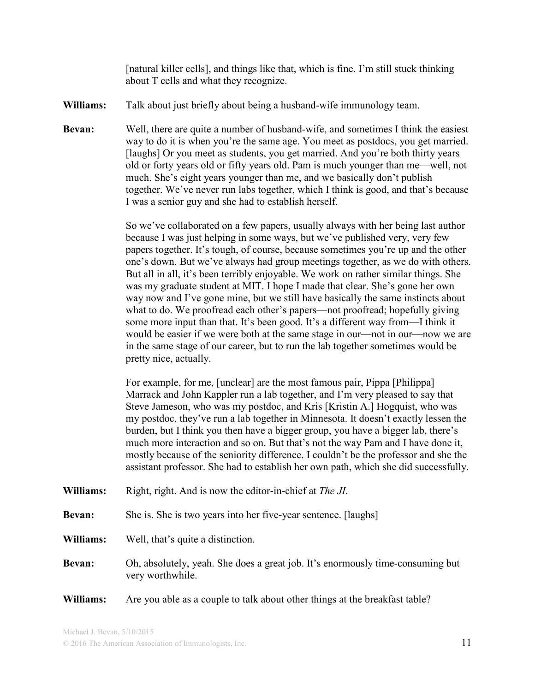[natural killer cells], and things like that, which is fine. I'm still stuck thinking about T cells and what they recognize.

- **Williams:** Talk about just briefly about being a husband-wife immunology team.
- **Bevan:** Well, there are quite a number of husband-wife, and sometimes I think the easiest way to do it is when you're the same age. You meet as postdocs, you get married. [laughs] Or you meet as students, you get married. And you're both thirty years old or forty years old or fifty years old. Pam is much younger than me—well, not much. She's eight years younger than me, and we basically don't publish together. We've never run labs together, which I think is good, and that's because I was a senior guy and she had to establish herself.

So we've collaborated on a few papers, usually always with her being last author because I was just helping in some ways, but we've published very, very few papers together. It's tough, of course, because sometimes you're up and the other one's down. But we've always had group meetings together, as we do with others. But all in all, it's been terribly enjoyable. We work on rather similar things. She was my graduate student at MIT. I hope I made that clear. She's gone her own way now and I've gone mine, but we still have basically the same instincts about what to do. We proofread each other's papers—not proofread; hopefully giving some more input than that. It's been good. It's a different way from—I think it would be easier if we were both at the same stage in our—not in our—now we are in the same stage of our career, but to run the lab together sometimes would be pretty nice, actually.

For example, for me, [unclear] are the most famous pair, Pippa [Philippa] Marrack and John Kappler run a lab together, and I'm very pleased to say that Steve Jameson, who was my postdoc, and Kris [Kristin A.] Hogquist, who was my postdoc, they've run a lab together in Minnesota. It doesn't exactly lessen the burden, but I think you then have a bigger group, you have a bigger lab, there's much more interaction and so on. But that's not the way Pam and I have done it, mostly because of the seniority difference. I couldn't be the professor and she the assistant professor. She had to establish her own path, which she did successfully.

**Williams:** Right, right. And is now the editor-in-chief at *The JI*.

**Bevan:** She is. She is two years into her five-year sentence. [laughs]

- **Williams:** Well, that's quite a distinction.
- **Bevan:** Oh, absolutely, yeah. She does a great job. It's enormously time-consuming but very worthwhile.
- **Williams:** Are you able as a couple to talk about other things at the breakfast table?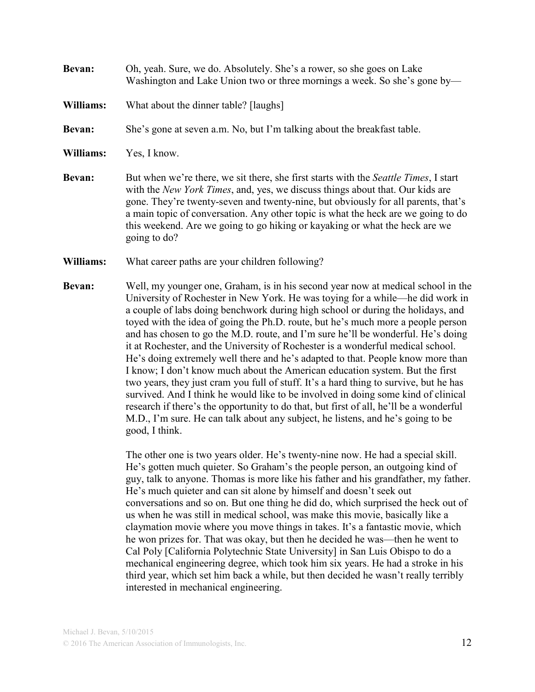## **Bevan:** Oh, yeah. Sure, we do. Absolutely. She's a rower, so she goes on Lake Washington and Lake Union two or three mornings a week. So she's gone by—

**Williams:** What about the dinner table? [laughs]

**Bevan:** She's gone at seven a.m. No, but I'm talking about the breakfast table.

**Williams:** Yes, I know.

- **Bevan:** But when we're there, we sit there, she first starts with the *Seattle Times*, I start with the *New York Times*, and, yes, we discuss things about that. Our kids are gone. They're twenty-seven and twenty-nine, but obviously for all parents, that's a main topic of conversation. Any other topic is what the heck are we going to do this weekend. Are we going to go hiking or kayaking or what the heck are we going to do?
- **Williams:** What career paths are your children following?
- **Bevan:** Well, my younger one, Graham, is in his second year now at medical school in the University of Rochester in New York. He was toying for a while—he did work in a couple of labs doing benchwork during high school or during the holidays, and toyed with the idea of going the Ph.D. route, but he's much more a people person and has chosen to go the M.D. route, and I'm sure he'll be wonderful. He's doing it at Rochester, and the University of Rochester is a wonderful medical school. He's doing extremely well there and he's adapted to that. People know more than I know; I don't know much about the American education system. But the first two years, they just cram you full of stuff. It's a hard thing to survive, but he has survived. And I think he would like to be involved in doing some kind of clinical research if there's the opportunity to do that, but first of all, he'll be a wonderful M.D., I'm sure. He can talk about any subject, he listens, and he's going to be good, I think.

The other one is two years older. He's twenty-nine now. He had a special skill. He's gotten much quieter. So Graham's the people person, an outgoing kind of guy, talk to anyone. Thomas is more like his father and his grandfather, my father. He's much quieter and can sit alone by himself and doesn't seek out conversations and so on. But one thing he did do, which surprised the heck out of us when he was still in medical school, was make this movie, basically like a claymation movie where you move things in takes. It's a fantastic movie, which he won prizes for. That was okay, but then he decided he was—then he went to Cal Poly [California Polytechnic State University] in San Luis Obispo to do a mechanical engineering degree, which took him six years. He had a stroke in his third year, which set him back a while, but then decided he wasn't really terribly interested in mechanical engineering.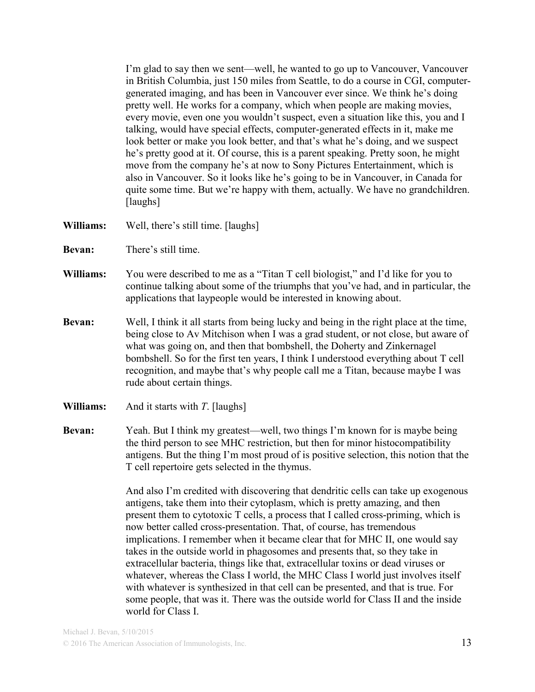I'm glad to say then we sent—well, he wanted to go up to Vancouver, Vancouver in British Columbia, just 150 miles from Seattle, to do a course in CGI, computergenerated imaging, and has been in Vancouver ever since. We think he's doing pretty well. He works for a company, which when people are making movies, every movie, even one you wouldn't suspect, even a situation like this, you and I talking, would have special effects, computer-generated effects in it, make me look better or make you look better, and that's what he's doing, and we suspect he's pretty good at it. Of course, this is a parent speaking. Pretty soon, he might move from the company he's at now to Sony Pictures Entertainment, which is also in Vancouver. So it looks like he's going to be in Vancouver, in Canada for quite some time. But we're happy with them, actually. We have no grandchildren. [laughs]

- **Williams:** Well, there's still time. [laughs]
- **Bevan:** There's still time.
- **Williams:** You were described to me as a "Titan T cell biologist," and I'd like for you to continue talking about some of the triumphs that you've had, and in particular, the applications that laypeople would be interested in knowing about.
- **Bevan:** Well, I think it all starts from being lucky and being in the right place at the time, being close to Av Mitchison when I was a grad student, or not close, but aware of what was going on, and then that bombshell, the Doherty and Zinkernagel bombshell. So for the first ten years, I think I understood everything about T cell recognition, and maybe that's why people call me a Titan, because maybe I was rude about certain things.
- **Williams:** And it starts with *T*. [laughs]
- **Bevan:** Yeah. But I think my greatest—well, two things I'm known for is maybe being the third person to see MHC restriction, but then for minor histocompatibility antigens. But the thing I'm most proud of is positive selection, this notion that the T cell repertoire gets selected in the thymus.

And also I'm credited with discovering that dendritic cells can take up exogenous antigens, take them into their cytoplasm, which is pretty amazing, and then present them to cytotoxic T cells, a process that I called cross-priming, which is now better called cross-presentation. That, of course, has tremendous implications. I remember when it became clear that for MHC II, one would say takes in the outside world in phagosomes and presents that, so they take in extracellular bacteria, things like that, extracellular toxins or dead viruses or whatever, whereas the Class I world, the MHC Class I world just involves itself with whatever is synthesized in that cell can be presented, and that is true. For some people, that was it. There was the outside world for Class II and the inside world for Class I.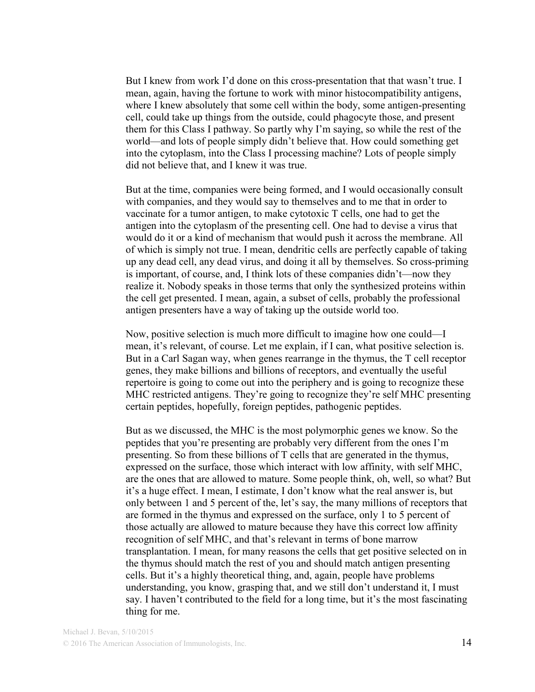But I knew from work I'd done on this cross-presentation that that wasn't true. I mean, again, having the fortune to work with minor histocompatibility antigens, where I knew absolutely that some cell within the body, some antigen-presenting cell, could take up things from the outside, could phagocyte those, and present them for this Class I pathway. So partly why I'm saying, so while the rest of the world—and lots of people simply didn't believe that. How could something get into the cytoplasm, into the Class I processing machine? Lots of people simply did not believe that, and I knew it was true.

But at the time, companies were being formed, and I would occasionally consult with companies, and they would say to themselves and to me that in order to vaccinate for a tumor antigen, to make cytotoxic T cells, one had to get the antigen into the cytoplasm of the presenting cell. One had to devise a virus that would do it or a kind of mechanism that would push it across the membrane. All of which is simply not true. I mean, dendritic cells are perfectly capable of taking up any dead cell, any dead virus, and doing it all by themselves. So cross-priming is important, of course, and, I think lots of these companies didn't—now they realize it. Nobody speaks in those terms that only the synthesized proteins within the cell get presented. I mean, again, a subset of cells, probably the professional antigen presenters have a way of taking up the outside world too.

Now, positive selection is much more difficult to imagine how one could—I mean, it's relevant, of course. Let me explain, if I can, what positive selection is. But in a Carl Sagan way, when genes rearrange in the thymus, the T cell receptor genes, they make billions and billions of receptors, and eventually the useful repertoire is going to come out into the periphery and is going to recognize these MHC restricted antigens. They're going to recognize they're self MHC presenting certain peptides, hopefully, foreign peptides, pathogenic peptides.

But as we discussed, the MHC is the most polymorphic genes we know. So the peptides that you're presenting are probably very different from the ones I'm presenting. So from these billions of T cells that are generated in the thymus, expressed on the surface, those which interact with low affinity, with self MHC, are the ones that are allowed to mature. Some people think, oh, well, so what? But it's a huge effect. I mean, I estimate, I don't know what the real answer is, but only between 1 and 5 percent of the, let's say, the many millions of receptors that are formed in the thymus and expressed on the surface, only 1 to 5 percent of those actually are allowed to mature because they have this correct low affinity recognition of self MHC, and that's relevant in terms of bone marrow transplantation. I mean, for many reasons the cells that get positive selected on in the thymus should match the rest of you and should match antigen presenting cells. But it's a highly theoretical thing, and, again, people have problems understanding, you know, grasping that, and we still don't understand it, I must say. I haven't contributed to the field for a long time, but it's the most fascinating thing for me.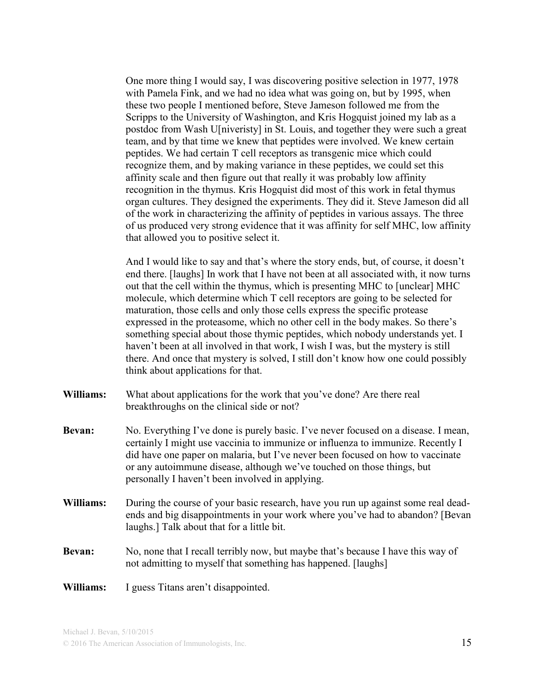One more thing I would say, I was discovering positive selection in 1977, 1978 with Pamela Fink, and we had no idea what was going on, but by 1995, when these two people I mentioned before, Steve Jameson followed me from the Scripps to the University of Washington, and Kris Hogquist joined my lab as a postdoc from Wash U[niveristy] in St. Louis, and together they were such a great team, and by that time we knew that peptides were involved. We knew certain peptides. We had certain T cell receptors as transgenic mice which could recognize them, and by making variance in these peptides, we could set this affinity scale and then figure out that really it was probably low affinity recognition in the thymus. Kris Hogquist did most of this work in fetal thymus organ cultures. They designed the experiments. They did it. Steve Jameson did all of the work in characterizing the affinity of peptides in various assays. The three of us produced very strong evidence that it was affinity for self MHC, low affinity that allowed you to positive select it.

And I would like to say and that's where the story ends, but, of course, it doesn't end there. [laughs] In work that I have not been at all associated with, it now turns out that the cell within the thymus, which is presenting MHC to [unclear] MHC molecule, which determine which T cell receptors are going to be selected for maturation, those cells and only those cells express the specific protease expressed in the proteasome, which no other cell in the body makes. So there's something special about those thymic peptides, which nobody understands yet. I haven't been at all involved in that work, I wish I was, but the mystery is still there. And once that mystery is solved, I still don't know how one could possibly think about applications for that.

- **Williams:** What about applications for the work that you've done? Are there real breakthroughs on the clinical side or not?
- **Bevan:** No. Everything I've done is purely basic. I've never focused on a disease. I mean, certainly I might use vaccinia to immunize or influenza to immunize. Recently I did have one paper on malaria, but I've never been focused on how to vaccinate or any autoimmune disease, although we've touched on those things, but personally I haven't been involved in applying.
- **Williams:** During the course of your basic research, have you run up against some real deadends and big disappointments in your work where you've had to abandon? [Bevan laughs.] Talk about that for a little bit.
- **Bevan:** No, none that I recall terribly now, but maybe that's because I have this way of not admitting to myself that something has happened. [laughs]
- **Williams:** I guess Titans aren't disappointed.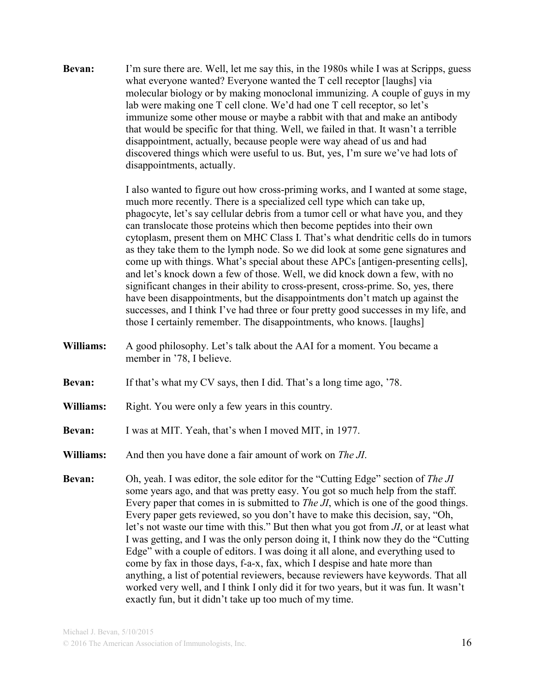**Bevan:** I'm sure there are. Well, let me say this, in the 1980s while I was at Scripps, guess what everyone wanted? Everyone wanted the T cell receptor [laughs] via molecular biology or by making monoclonal immunizing. A couple of guys in my lab were making one T cell clone. We'd had one T cell receptor, so let's immunize some other mouse or maybe a rabbit with that and make an antibody that would be specific for that thing. Well, we failed in that. It wasn't a terrible disappointment, actually, because people were way ahead of us and had discovered things which were useful to us. But, yes, I'm sure we've had lots of disappointments, actually.

> I also wanted to figure out how cross-priming works, and I wanted at some stage, much more recently. There is a specialized cell type which can take up, phagocyte, let's say cellular debris from a tumor cell or what have you, and they can translocate those proteins which then become peptides into their own cytoplasm, present them on MHC Class I. That's what dendritic cells do in tumors as they take them to the lymph node. So we did look at some gene signatures and come up with things. What's special about these APCs [antigen-presenting cells], and let's knock down a few of those. Well, we did knock down a few, with no significant changes in their ability to cross-present, cross-prime. So, yes, there have been disappointments, but the disappointments don't match up against the successes, and I think I've had three or four pretty good successes in my life, and those I certainly remember. The disappointments, who knows. [laughs]

- **Williams:** A good philosophy. Let's talk about the AAI for a moment. You became a member in '78, I believe.
- **Bevan:** If that's what my CV says, then I did. That's a long time ago, '78.
- **Williams:** Right. You were only a few years in this country.
- **Bevan:** I was at MIT. Yeah, that's when I moved MIT, in 1977.
- **Williams:** And then you have done a fair amount of work on *The JI*.
- **Bevan:** Oh, yeah. I was editor, the sole editor for the "Cutting Edge" section of *The JI* some years ago, and that was pretty easy. You got so much help from the staff. Every paper that comes in is submitted to *The JI*, which is one of the good things. Every paper gets reviewed, so you don't have to make this decision, say, "Oh, let's not waste our time with this." But then what you got from *JI*, or at least what I was getting, and I was the only person doing it, I think now they do the "Cutting Edge" with a couple of editors. I was doing it all alone, and everything used to come by fax in those days, f-a-x, fax, which I despise and hate more than anything, a list of potential reviewers, because reviewers have keywords. That all worked very well, and I think I only did it for two years, but it was fun. It wasn't exactly fun, but it didn't take up too much of my time.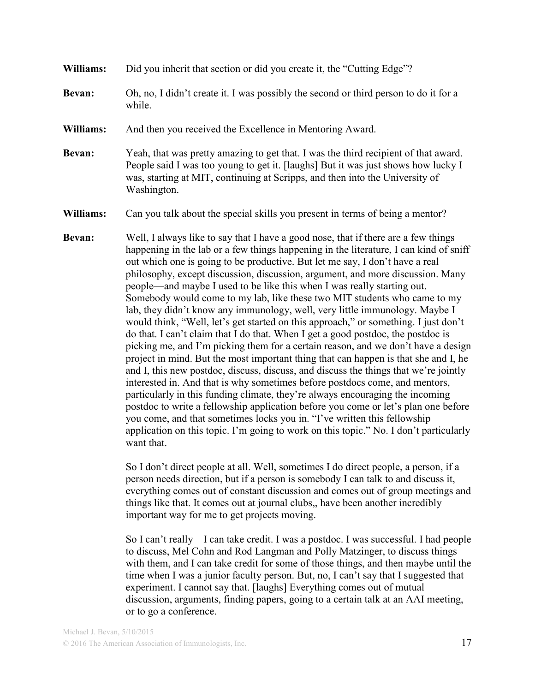- **Williams:** Did you inherit that section or did you create it, the "Cutting Edge"?
- **Bevan:** Oh, no, I didn't create it. I was possibly the second or third person to do it for a while.
- **Williams:** And then you received the Excellence in Mentoring Award.
- **Bevan:** Yeah, that was pretty amazing to get that. I was the third recipient of that award. People said I was too young to get it. [laughs] But it was just shows how lucky I was, starting at MIT, continuing at Scripps, and then into the University of Washington.

**Williams:** Can you talk about the special skills you present in terms of being a mentor?

**Bevan:** Well, I always like to say that I have a good nose, that if there are a few things happening in the lab or a few things happening in the literature, I can kind of sniff out which one is going to be productive. But let me say, I don't have a real philosophy, except discussion, discussion, argument, and more discussion. Many people—and maybe I used to be like this when I was really starting out. Somebody would come to my lab, like these two MIT students who came to my lab, they didn't know any immunology, well, very little immunology. Maybe I would think, "Well, let's get started on this approach," or something. I just don't do that. I can't claim that I do that. When I get a good postdoc, the postdoc is picking me, and I'm picking them for a certain reason, and we don't have a design project in mind. But the most important thing that can happen is that she and I, he and I, this new postdoc, discuss, discuss, and discuss the things that we're jointly interested in. And that is why sometimes before postdocs come, and mentors, particularly in this funding climate, they're always encouraging the incoming postdoc to write a fellowship application before you come or let's plan one before you come, and that sometimes locks you in. "I've written this fellowship application on this topic. I'm going to work on this topic." No. I don't particularly want that.

> So I don't direct people at all. Well, sometimes I do direct people, a person, if a person needs direction, but if a person is somebody I can talk to and discuss it, everything comes out of constant discussion and comes out of group meetings and things like that. It comes out at journal clubs,, have been another incredibly important way for me to get projects moving.

> So I can't really—I can take credit. I was a postdoc. I was successful. I had people to discuss, Mel Cohn and Rod Langman and Polly Matzinger, to discuss things with them, and I can take credit for some of those things, and then maybe until the time when I was a junior faculty person. But, no, I can't say that I suggested that experiment. I cannot say that. [laughs] Everything comes out of mutual discussion, arguments, finding papers, going to a certain talk at an AAI meeting, or to go a conference.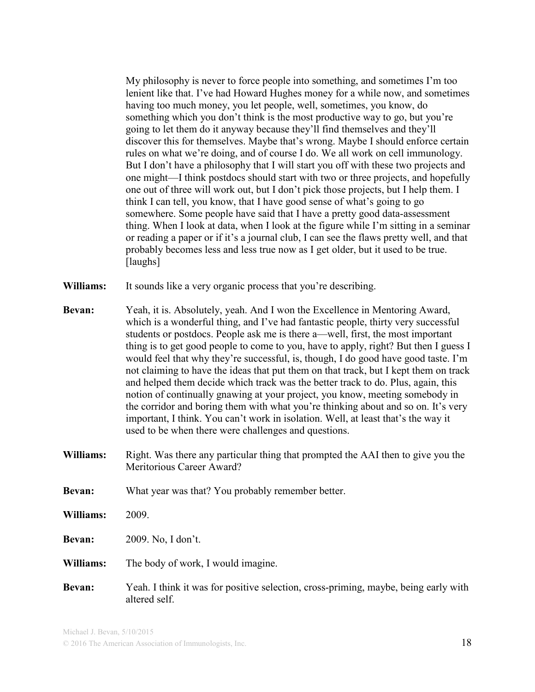My philosophy is never to force people into something, and sometimes I'm too lenient like that. I've had Howard Hughes money for a while now, and sometimes having too much money, you let people, well, sometimes, you know, do something which you don't think is the most productive way to go, but you're going to let them do it anyway because they'll find themselves and they'll discover this for themselves. Maybe that's wrong. Maybe I should enforce certain rules on what we're doing, and of course I do. We all work on cell immunology. But I don't have a philosophy that I will start you off with these two projects and one might—I think postdocs should start with two or three projects, and hopefully one out of three will work out, but I don't pick those projects, but I help them. I think I can tell, you know, that I have good sense of what's going to go somewhere. Some people have said that I have a pretty good data-assessment thing. When I look at data, when I look at the figure while I'm sitting in a seminar or reading a paper or if it's a journal club, I can see the flaws pretty well, and that probably becomes less and less true now as I get older, but it used to be true. [laughs]

- **Williams:** It sounds like a very organic process that you're describing.
- **Bevan:** Yeah, it is. Absolutely, yeah. And I won the Excellence in Mentoring Award, which is a wonderful thing, and I've had fantastic people, thirty very successful students or postdocs. People ask me is there a—well, first, the most important thing is to get good people to come to you, have to apply, right? But then I guess I would feel that why they're successful, is, though, I do good have good taste. I'm not claiming to have the ideas that put them on that track, but I kept them on track and helped them decide which track was the better track to do. Plus, again, this notion of continually gnawing at your project, you know, meeting somebody in the corridor and boring them with what you're thinking about and so on. It's very important, I think. You can't work in isolation. Well, at least that's the way it used to be when there were challenges and questions.
- **Williams:** Right. Was there any particular thing that prompted the AAI then to give you the Meritorious Career Award?
- **Bevan:** What year was that? You probably remember better.
- **Williams:** 2009.

**Bevan:** 2009. No, I don't.

- **Williams:** The body of work, I would imagine.
- **Bevan:** Yeah. I think it was for positive selection, cross-priming, maybe, being early with altered self.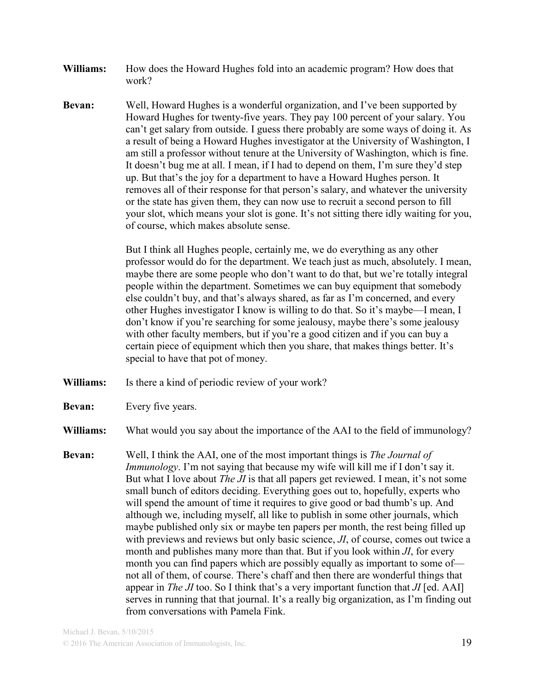- **Williams:** How does the Howard Hughes fold into an academic program? How does that work?
- **Bevan:** Well, Howard Hughes is a wonderful organization, and I've been supported by Howard Hughes for twenty-five years. They pay 100 percent of your salary. You can't get salary from outside. I guess there probably are some ways of doing it. As a result of being a Howard Hughes investigator at the University of Washington, I am still a professor without tenure at the University of Washington, which is fine. It doesn't bug me at all. I mean, if I had to depend on them, I'm sure they'd step up. But that's the joy for a department to have a Howard Hughes person. It removes all of their response for that person's salary, and whatever the university or the state has given them, they can now use to recruit a second person to fill your slot, which means your slot is gone. It's not sitting there idly waiting for you, of course, which makes absolute sense.

But I think all Hughes people, certainly me, we do everything as any other professor would do for the department. We teach just as much, absolutely. I mean, maybe there are some people who don't want to do that, but we're totally integral people within the department. Sometimes we can buy equipment that somebody else couldn't buy, and that's always shared, as far as I'm concerned, and every other Hughes investigator I know is willing to do that. So it's maybe—I mean, I don't know if you're searching for some jealousy, maybe there's some jealousy with other faculty members, but if you're a good citizen and if you can buy a certain piece of equipment which then you share, that makes things better. It's special to have that pot of money.

- Williams: Is there a kind of periodic review of your work?
- **Bevan:** Every five years.

**Williams:** What would you say about the importance of the AAI to the field of immunology?

**Bevan:** Well, I think the AAI, one of the most important things is *The Journal of Immunology*. I'm not saying that because my wife will kill me if I don't say it. But what I love about *The JI* is that all papers get reviewed. I mean, it's not some small bunch of editors deciding. Everything goes out to, hopefully, experts who will spend the amount of time it requires to give good or bad thumb's up. And although we, including myself, all like to publish in some other journals, which maybe published only six or maybe ten papers per month, the rest being filled up with previews and reviews but only basic science, *JI*, of course, comes out twice a month and publishes many more than that. But if you look within *JI*, for every month you can find papers which are possibly equally as important to some of not all of them, of course. There's chaff and then there are wonderful things that appear in *The JI* too. So I think that's a very important function that *JI* [ed. AAI] serves in running that that journal. It's a really big organization, as I'm finding out from conversations with Pamela Fink.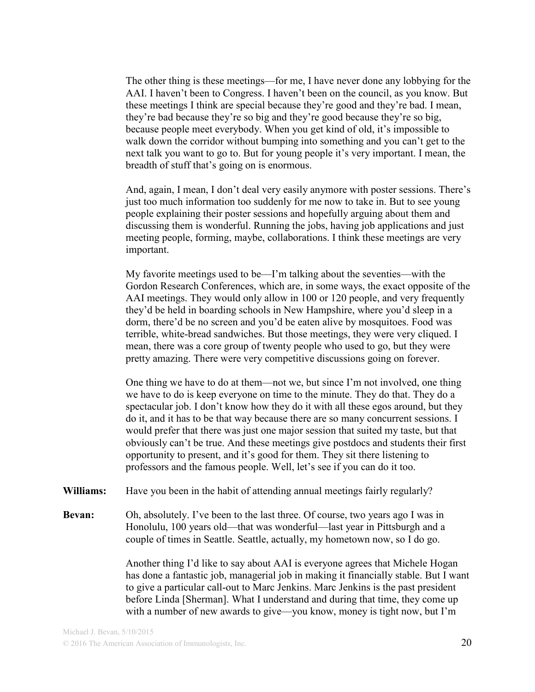The other thing is these meetings—for me, I have never done any lobbying for the AAI. I haven't been to Congress. I haven't been on the council, as you know. But these meetings I think are special because they're good and they're bad. I mean, they're bad because they're so big and they're good because they're so big, because people meet everybody. When you get kind of old, it's impossible to walk down the corridor without bumping into something and you can't get to the next talk you want to go to. But for young people it's very important. I mean, the breadth of stuff that's going on is enormous.

And, again, I mean, I don't deal very easily anymore with poster sessions. There's just too much information too suddenly for me now to take in. But to see young people explaining their poster sessions and hopefully arguing about them and discussing them is wonderful. Running the jobs, having job applications and just meeting people, forming, maybe, collaborations. I think these meetings are very important.

My favorite meetings used to be—I'm talking about the seventies—with the Gordon Research Conferences, which are, in some ways, the exact opposite of the AAI meetings. They would only allow in 100 or 120 people, and very frequently they'd be held in boarding schools in New Hampshire, where you'd sleep in a dorm, there'd be no screen and you'd be eaten alive by mosquitoes. Food was terrible, white-bread sandwiches. But those meetings, they were very cliqued. I mean, there was a core group of twenty people who used to go, but they were pretty amazing. There were very competitive discussions going on forever.

One thing we have to do at them—not we, but since I'm not involved, one thing we have to do is keep everyone on time to the minute. They do that. They do a spectacular job. I don't know how they do it with all these egos around, but they do it, and it has to be that way because there are so many concurrent sessions. I would prefer that there was just one major session that suited my taste, but that obviously can't be true. And these meetings give postdocs and students their first opportunity to present, and it's good for them. They sit there listening to professors and the famous people. Well, let's see if you can do it too.

**Williams:** Have you been in the habit of attending annual meetings fairly regularly?

**Bevan:** Oh, absolutely. I've been to the last three. Of course, two years ago I was in Honolulu, 100 years old—that was wonderful—last year in Pittsburgh and a couple of times in Seattle. Seattle, actually, my hometown now, so I do go.

> Another thing I'd like to say about AAI is everyone agrees that Michele Hogan has done a fantastic job, managerial job in making it financially stable. But I want to give a particular call-out to Marc Jenkins. Marc Jenkins is the past president before Linda [Sherman]. What I understand and during that time, they come up with a number of new awards to give—you know, money is tight now, but I'm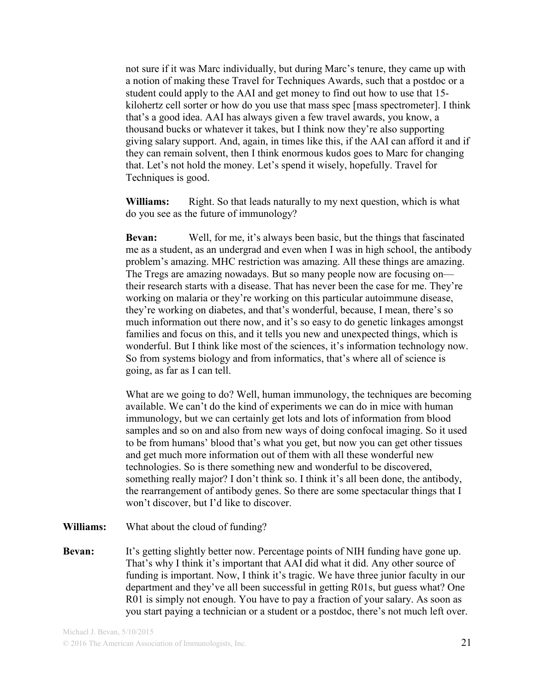not sure if it was Marc individually, but during Marc's tenure, they came up with a notion of making these Travel for Techniques Awards, such that a postdoc or a student could apply to the AAI and get money to find out how to use that 15 kilohertz cell sorter or how do you use that mass spec [mass spectrometer]. I think that's a good idea. AAI has always given a few travel awards, you know, a thousand bucks or whatever it takes, but I think now they're also supporting giving salary support. And, again, in times like this, if the AAI can afford it and if they can remain solvent, then I think enormous kudos goes to Marc for changing that. Let's not hold the money. Let's spend it wisely, hopefully. Travel for Techniques is good.

**Williams:** Right. So that leads naturally to my next question, which is what do you see as the future of immunology?

**Bevan:** Well, for me, it's always been basic, but the things that fascinated me as a student, as an undergrad and even when I was in high school, the antibody problem's amazing. MHC restriction was amazing. All these things are amazing. The Tregs are amazing nowadays. But so many people now are focusing on their research starts with a disease. That has never been the case for me. They're working on malaria or they're working on this particular autoimmune disease, they're working on diabetes, and that's wonderful, because, I mean, there's so much information out there now, and it's so easy to do genetic linkages amongst families and focus on this, and it tells you new and unexpected things, which is wonderful. But I think like most of the sciences, it's information technology now. So from systems biology and from informatics, that's where all of science is going, as far as I can tell.

What are we going to do? Well, human immunology, the techniques are becoming available. We can't do the kind of experiments we can do in mice with human immunology, but we can certainly get lots and lots of information from blood samples and so on and also from new ways of doing confocal imaging. So it used to be from humans' blood that's what you get, but now you can get other tissues and get much more information out of them with all these wonderful new technologies. So is there something new and wonderful to be discovered, something really major? I don't think so. I think it's all been done, the antibody, the rearrangement of antibody genes. So there are some spectacular things that I won't discover, but I'd like to discover.

- **Williams:** What about the cloud of funding?
- **Bevan:** It's getting slightly better now. Percentage points of NIH funding have gone up. That's why I think it's important that AAI did what it did. Any other source of funding is important. Now, I think it's tragic. We have three junior faculty in our department and they've all been successful in getting R01s, but guess what? One R01 is simply not enough. You have to pay a fraction of your salary. As soon as you start paying a technician or a student or a postdoc, there's not much left over.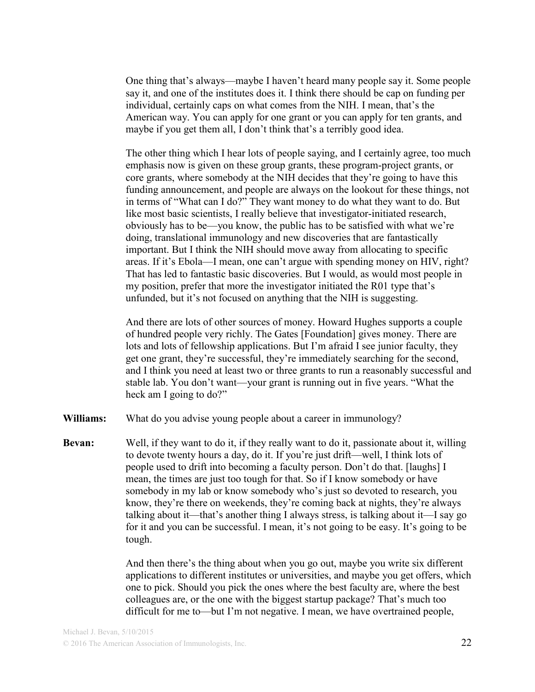One thing that's always—maybe I haven't heard many people say it. Some people say it, and one of the institutes does it. I think there should be cap on funding per individual, certainly caps on what comes from the NIH. I mean, that's the American way. You can apply for one grant or you can apply for ten grants, and maybe if you get them all, I don't think that's a terribly good idea.

The other thing which I hear lots of people saying, and I certainly agree, too much emphasis now is given on these group grants, these program-project grants, or core grants, where somebody at the NIH decides that they're going to have this funding announcement, and people are always on the lookout for these things, not in terms of "What can I do?" They want money to do what they want to do. But like most basic scientists, I really believe that investigator-initiated research, obviously has to be—you know, the public has to be satisfied with what we're doing, translational immunology and new discoveries that are fantastically important. But I think the NIH should move away from allocating to specific areas. If it's Ebola—I mean, one can't argue with spending money on HIV, right? That has led to fantastic basic discoveries. But I would, as would most people in my position, prefer that more the investigator initiated the R01 type that's unfunded, but it's not focused on anything that the NIH is suggesting.

And there are lots of other sources of money. Howard Hughes supports a couple of hundred people very richly. The Gates [Foundation] gives money. There are lots and lots of fellowship applications. But I'm afraid I see junior faculty, they get one grant, they're successful, they're immediately searching for the second, and I think you need at least two or three grants to run a reasonably successful and stable lab. You don't want—your grant is running out in five years. "What the heck am I going to do?"

- **Williams:** What do you advise young people about a career in immunology?
- **Bevan:** Well, if they want to do it, if they really want to do it, passionate about it, willing to devote twenty hours a day, do it. If you're just drift—well, I think lots of people used to drift into becoming a faculty person. Don't do that. [laughs] I mean, the times are just too tough for that. So if I know somebody or have somebody in my lab or know somebody who's just so devoted to research, you know, they're there on weekends, they're coming back at nights, they're always talking about it—that's another thing I always stress, is talking about it—I say go for it and you can be successful. I mean, it's not going to be easy. It's going to be tough.

And then there's the thing about when you go out, maybe you write six different applications to different institutes or universities, and maybe you get offers, which one to pick. Should you pick the ones where the best faculty are, where the best colleagues are, or the one with the biggest startup package? That's much too difficult for me to—but I'm not negative. I mean, we have overtrained people,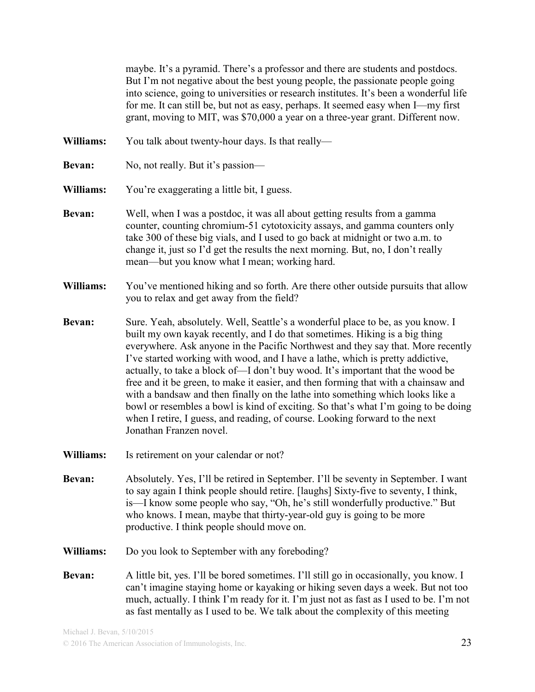maybe. It's a pyramid. There's a professor and there are students and postdocs. But I'm not negative about the best young people, the passionate people going into science, going to universities or research institutes. It's been a wonderful life for me. It can still be, but not as easy, perhaps. It seemed easy when I—my first grant, moving to MIT, was \$70,000 a year on a three-year grant. Different now.

- **Williams:** You talk about twenty-hour days. Is that really—
- **Bevan:** No, not really. But it's passion—
- **Williams:** You're exaggerating a little bit, I guess.
- **Bevan:** Well, when I was a postdoc, it was all about getting results from a gamma counter, counting chromium-51 cytotoxicity assays, and gamma counters only take 300 of these big vials, and I used to go back at midnight or two a.m. to change it, just so I'd get the results the next morning. But, no, I don't really mean—but you know what I mean; working hard.
- **Williams:** You've mentioned hiking and so forth. Are there other outside pursuits that allow you to relax and get away from the field?
- **Bevan:** Sure. Yeah, absolutely. Well, Seattle's a wonderful place to be, as you know. I built my own kayak recently, and I do that sometimes. Hiking is a big thing everywhere. Ask anyone in the Pacific Northwest and they say that. More recently I've started working with wood, and I have a lathe, which is pretty addictive, actually, to take a block of—I don't buy wood. It's important that the wood be free and it be green, to make it easier, and then forming that with a chainsaw and with a bandsaw and then finally on the lathe into something which looks like a bowl or resembles a bowl is kind of exciting. So that's what I'm going to be doing when I retire, I guess, and reading, of course. Looking forward to the next Jonathan Franzen novel.
- **Williams:** Is retirement on your calendar or not?
- **Bevan:** Absolutely. Yes, I'll be retired in September. I'll be seventy in September. I want to say again I think people should retire. [laughs] Sixty-five to seventy, I think, is—I know some people who say, "Oh, he's still wonderfully productive." But who knows. I mean, maybe that thirty-year-old guy is going to be more productive. I think people should move on.
- **Williams:** Do you look to September with any foreboding?
- **Bevan:** A little bit, yes. I'll be bored sometimes. I'll still go in occasionally, you know. I can't imagine staying home or kayaking or hiking seven days a week. But not too much, actually. I think I'm ready for it. I'm just not as fast as I used to be. I'm not as fast mentally as I used to be. We talk about the complexity of this meeting